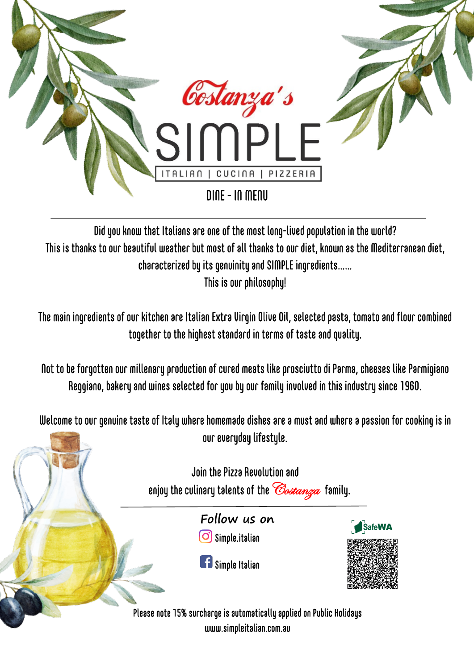

Did you know that Italians are one of the most long-lived population in the world? This is thanks to our beautiful weather but most of all thanks to our diet, known as the Mediterranean diet, characterized by its genuinity and SIMPLE ingredients…… This is our philosophy!

The main ingredients of our kitchen are Italian Extra Virgin Olive Oil, selected pasta, tomato and flour combined together to the highest standard in terms of taste and quality.

Not to be forgotten our millenary production of cured meats like prosciutto di Parma, cheeses like Parmigiano Reggiano, bakery and wines selected for you by our family involved in this industry since 1960.

Welcome to our genuine taste of Italy where homemade dishes are a must and where a passion for cooking is in our everyday lifestyle.

Join the Pizza Revolution and enjoy the culinary talents of the *Costanza* family. **Follow us on** SafeWA  $\overline{\textbf{C}}$  Simple.italian **F** Simple Italian Please note 15% surcharge is automatically applied on Public Holidays

www.simpleitalian.com.au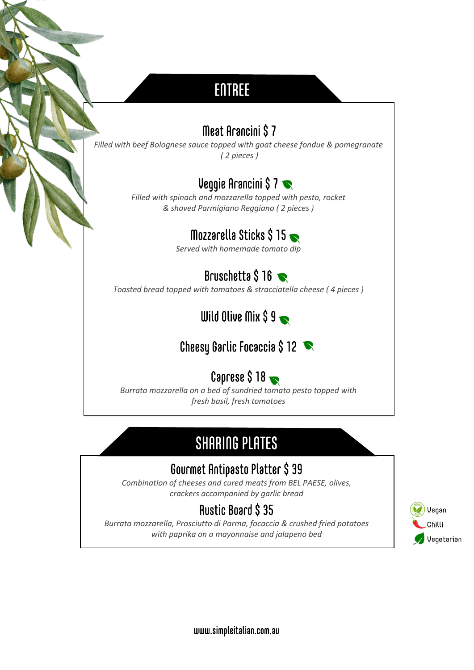# ENTREE

### Meat Arancini \$ 7

*Filled with beef Bolognese sauce topped with goat cheese fondue & pomegranate ( 2 pieces )*

### Veggie Arancini \$ 7

*Filled with spinach and mozzarella topped with pesto, rocket & shaved Parmigiano Reggiano ( 2 pieces )*

# Mozzarella Sticks \$15

*Served with homemade tomato dip*

## Bruschetta  $$16 \rightarrow$

*Toasted bread topped with tomatoes & stracciatella cheese ( 4 pieces )*

Wild Olive Mix  $$9\rightarrow$ 

### Cheesy Garlic Focaccia \$ 12

# Caprese  $$18 \rightarrow$

*Burrata mozzarella on a bed of sundried tomato pesto topped with fresh basil, fresh tomatoes*

# SHARING PLATES

### Gourmet Antipasto Platter \$ 39

*Combination of cheeses and cured meats from BEL PAESE, olives, crackers accompanied by garlic bread*

### Rustic Board \$ 35

*Burrata mozzarella, Prosciutto di Parma, focaccia & crushed fried potatoes with paprika on a mayonnaise and jalapeno bed*



www.simpleitalian.com.au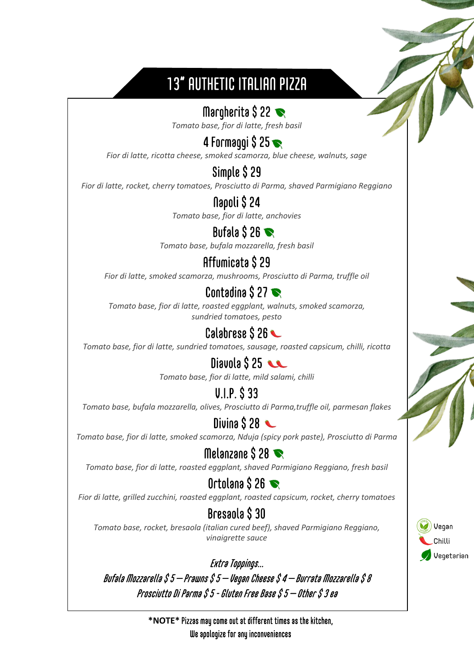# 13" AUTHETIC ITALIAN PIZZA

### Margherita  $$22 \blacktriangleright$

*Tomato base, fior di latte, fresh basil*

## 4 Formaggi  $$25 \bullet$

*Fior di latte, ricotta cheese, smoked scamorza, blue cheese, walnuts, sage*

#### Simple \$ 29

*Fior di latte, rocket, cherry tomatoes, Prosciutto di Parma, shaved Parmigiano Reggiano*

# Napoli \$ 24

*Tomato base, fior di latte, anchovies*

#### Bufala  $$26 \blacktriangleright$

*Tomato base, bufala mozzarella, fresh basil*

#### Affumicata \$ 29

*Fior di latte, smoked scamorza, mushrooms, Prosciutto di Parma, truffle oil*

### Contadina  $$27 \blacktriangleright$

*Tomato base, fior di latte, roasted eggplant, walnuts, smoked scamorza, sundried tomatoes, pesto*

### Calabrese \$26

*Tomato base, fior di latte, sundried tomatoes, sausage, roasted capsicum, chilli, ricotta*

#### Diavola  $$25$

*Tomato base, fior di latte, mild salami, chilli*

#### V.I.P. \$ 33

*Tomato base, bufala mozzarella, olives, Prosciutto di Parma,truffle oil, parmesan flakes*

#### Divina  $$28$

*Tomato base, fior di latte, smoked scamorza, Nduja (spicy pork paste), Prosciutto di Parma*

#### Melanzane  $$28 \blacktriangleright$

*Tomato base, fior di latte, roasted eggplant, shaved Parmigiano Reggiano, fresh basil*

### Ortolana  $S$  26

*Fior di latte, grilled zucchini, roasted eggplant, roasted capsicum, rocket, cherry tomatoes*

### Bresaola \$ 30

*Tomato base, rocket, bresaola (italian cured beef), shaved Parmigiano Reggiano, vinaigrette sauce*

Vegan Chilli

Vegetarian

Extra Toppings… Bufala Mozzarella  $$$  5  $-$  Prawns  $\$$  5  $-$  Vegan Cheese  $\$$  4  $-$  Burrata Mozzarella  $\$$  8 Prosciutto Di Parma \$ 5 - Gluten Free Base \$ 5 – Other \$ 3 ea

> **\*NOTE\*** Pizzas may come out at different times as the kitchen, We apologize for any inconveniences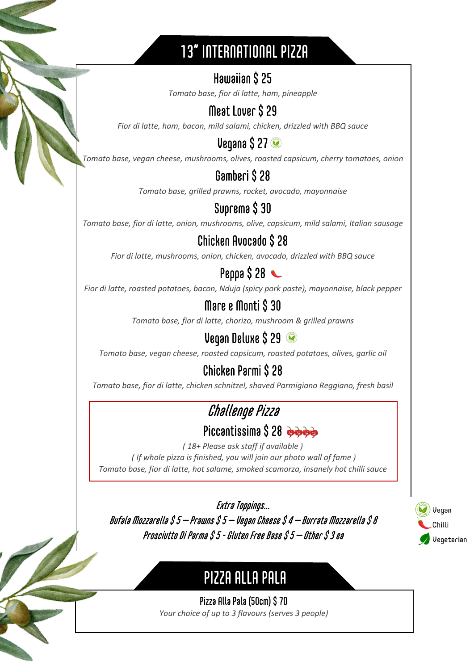# 13" INTERNATIONAL PIZZA

### Hawaiian \$ 25

*Tomato base, fior di latte, ham, pineapple*

### Meat Lover \$ 29

*Fior di latte, ham, bacon, mild salami, chicken, drizzled with BBQ sauce*

### Vegana \$ 27

*Tomato base, vegan cheese, mushrooms, olives, roasted capsicum, cherry tomatoes, onion*

### Gamberi \$ 28

*Tomato base, grilled prawns, rocket, avocado, mayonnaise*

### Suprema \$ 30

*Tomato base, fior di latte, onion, mushrooms, olive, capsicum, mild salami, Italian sausage*

### Chicken Avocado \$ 28

*Fior di latte, mushrooms, onion, chicken, avocado, drizzled with BBQ sauce*

#### **Penna \$ 28 \**

*Fior di latte, roasted potatoes, bacon, Nduja (spicy pork paste), mayonnaise, black pepper*

#### Mare e Monti \$ 30

*Tomato base, fior di latte, chorizo, mushroom & grilled prawns*

## Vegan Deluxe \$ 29

*Tomato base, vegan cheese, roasted capsicum, roasted potatoes, olives, garlic oil*

# Chicken Parmi \$ 28

*Tomato base, fior di latte, chicken schnitzel, shaved Parmigiano Reggiano, fresh basil*

# Challenge Pizza

#### Piccantissima \$28

*( 18+ Please ask staff if available ) ( If whole pizza is finished, you will join our photo wall of fame ) Tomato base, fior di latte, hot salame, smoked scamorza, insanely hot chilli sauce*

Extra Toppings…

Bufala Mozzarella  $$$  5  $-$  Prawns  $$$  5  $-$  Vegan Cheese  $$$  4  $-$  Burrata Mozzarella  $\$$  8 Prosciutto Di Parma \$ 5 - Gluten Free Base \$ 5 – Other \$ 3 ea

 $\overline{a}$ į

**CONSUMER** 



# PIZZA ALLA PALA

 Pizza Alla Pala (50cm) \$ 70 *Your choice of up to 3 flavours (serves 3 people)*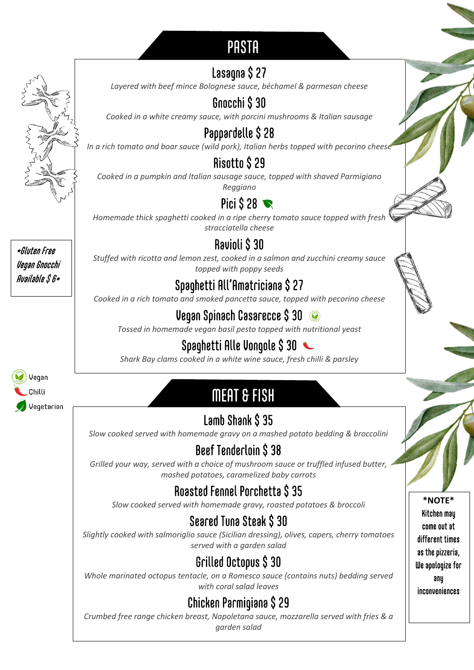# **PASTA**

## Lasagna \$ 27

*Layered with beef mince Bolognese sauce, béchamel & parmesan cheese*

# Gnocchi \$ 30

*Cooked in a white creamy sauce, with porcini mushrooms & Italian sausage*

# Pappardelle \$ 28

*In a rich tomato and boar sauce (wild pork), Italian herbs topped with pecorino cheese*

## Risotto \$ 29

*Cooked in a pumpkin and Italian sausage sauce, topped with shaved Parmigiano Reggiano*

# Pici  $\hat{S}$  28

*Homemade thick spaghetti cooked in a ripe cherry tomato sauce topped with fresh stracciatella cheese*

### Ravioli \$ 30

*Stuffed with ricotta and lemon zest, cooked in a salmon and zucchini creamy sauce topped with poppy seeds*

## Spaghetti All'Amatriciana \$ 27

*Cooked in a rich tomato and smoked pancetta sauce, topped with pecorino cheese*

# Vegan Spinach Casarecce \$ 30

*Tossed in homemade vegan basil pesto topped with nutritional yeast*

# Spaghetti Alle Vongole \$30

*Shark Bay clams cooked in a white wine sauce, fresh chilli & parsley*

# MEAT & FISH

Lamb Shank \$ 35

*Slow cooked served with homemade gravy on a mashed potato bedding & broccolini*

# Beef Tenderloin \$ 38

*Grilled your way, served with a choice of mushroom sauce or truffled infused butter, mashed potatoes, caramelized baby carrots* 

# Roasted Fennel Porchetta \$ 35

*Slow cooked served with homemade gravy, roasted potatoes & broccoli*

# Seared Tuna Steak \$ 30

*Slightly cooked with salmoriglio sauce (Sicilian dressing), olives, capers, cherry tomatoes served with a garden salad*

# Grilled Octopus \$ 30

*Whole marinated octopus tentacle, on a Romesco sauce (contains nuts) bedding served with coral salad leaves*

# Chicken Parmigiana \$ 29

*Crumbed free range chicken breast, Napoletana sauce, mozzarella served with fries & a garden salad*

**\*NOTE\*** Kitchen may come out at different times as the pizzeria, We apologize for any inconveniences

\*Gluten Free Vegan Gnocchi Available \$ 6\*

Ĩ

Vegan Chilli Vegetarian  $\overline{a}$